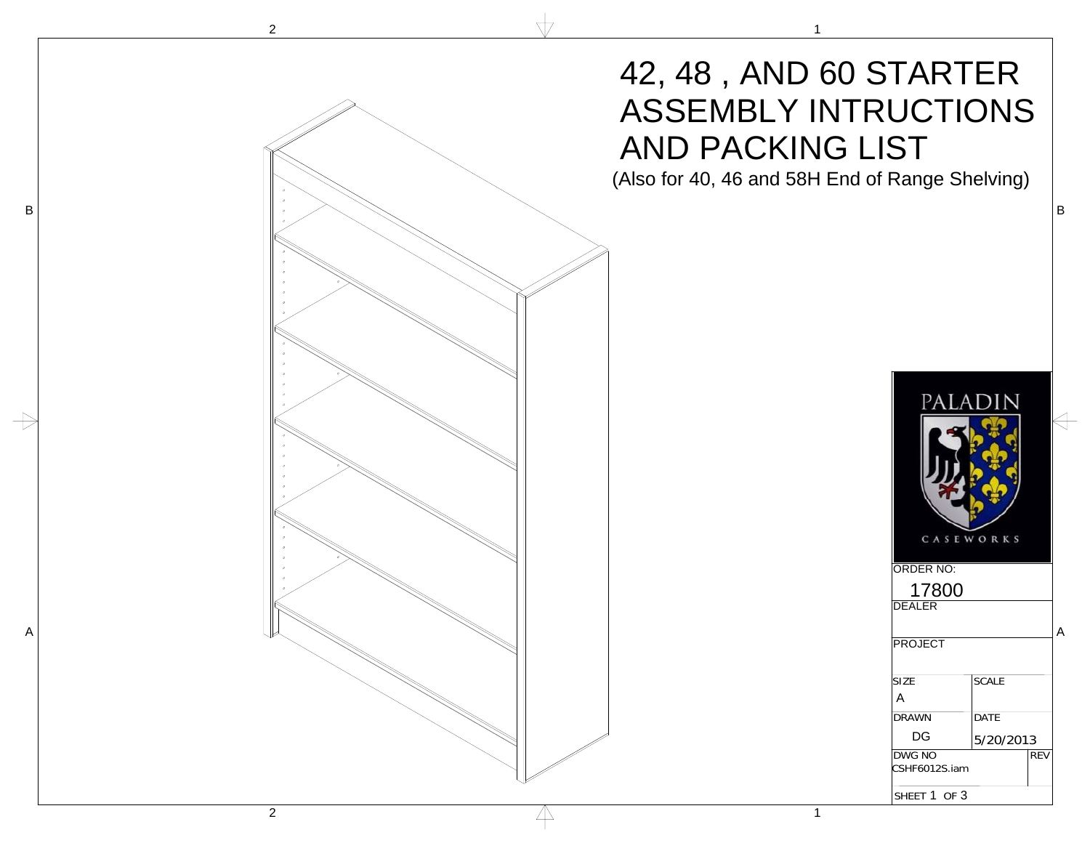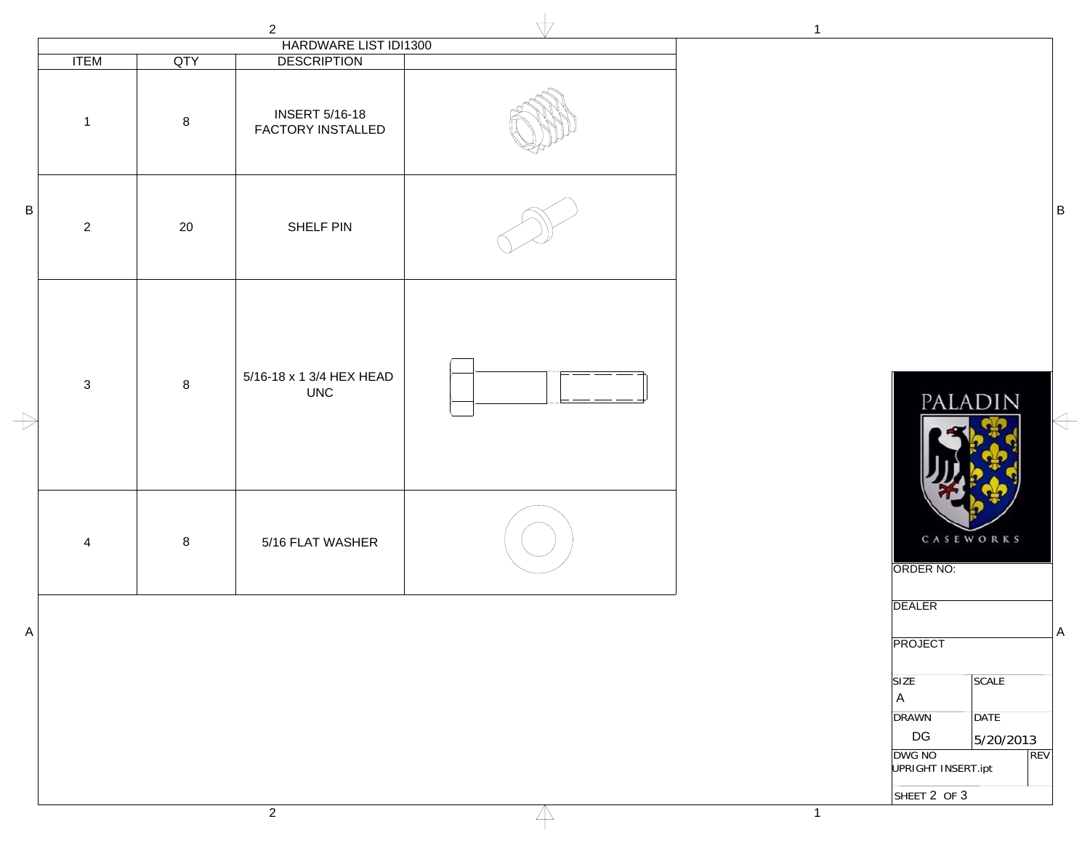|               |                |                | $\overline{2}$                                                   | $\mathbf{1}$                                                                                                                                               |
|---------------|----------------|----------------|------------------------------------------------------------------|------------------------------------------------------------------------------------------------------------------------------------------------------------|
|               | <b>ITEM</b>    | QTY            | HARDWARE LIST IDI1300                                            |                                                                                                                                                            |
|               | $\mathbf{1}$   | $8\phantom{1}$ | <b>DESCRIPTION</b><br><b>INSERT 5/16-18</b><br>FACTORY INSTALLED |                                                                                                                                                            |
| $\sf B$       | $\overline{2}$ | 20             | SHELF PIN                                                        |                                                                                                                                                            |
| $\Rightarrow$ | $\mathbf{3}$   | $\bf8$         | 5/16-18 x 1 3/4 HEX HEAD<br><b>UNC</b>                           | PALADIN                                                                                                                                                    |
|               | $\overline{4}$ | $8\phantom{1}$ | 5/16 FLAT WASHER                                                 | CASEWORKS<br>ORDER NO:                                                                                                                                     |
| $\mathsf{A}$  |                |                |                                                                  | <b>DEALER</b><br>PROJECT                                                                                                                                   |
|               |                |                |                                                                  | <b>SIZE</b><br>SCALE<br>$\mathsf{A}$<br><b>DRAWN</b><br>DATE<br>$\mathsf{D}\mathsf{G}$<br>5/20/2013<br>DWG NO<br>REV<br>UPRIGHT INSERT.ipt<br>SHEET 2 OF 3 |

 $\overline{\mathbb{A}}$ 

PALADIN  $\leftarrow$ CASEWORKS ORDER NO: DEALER PROJECT SIZE SCALE A DRAWN DATE DG 5/20/2013 DWG NO REV UPRIGHT INSERT.ipt SHEET 2 OF 3

1

2